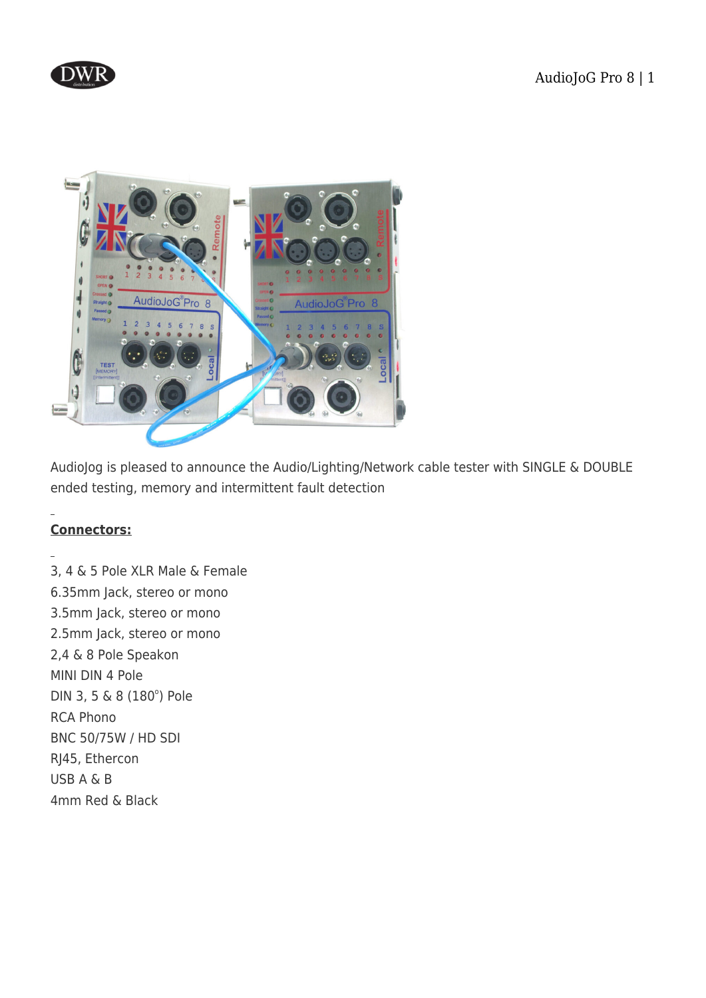



AudioJog is pleased to announce the Audio/Lighting/Network cable tester with SINGLE & DOUBLE ended testing, memory and intermittent fault detection

# **Connectors:**

3, 4 & 5 Pole XLR Male & Female 6.35mm Jack, stereo or mono 3.5mm Jack, stereo or mono 2.5mm Jack, stereo or mono 2,4 & 8 Pole Speakon MINI DIN 4 Pole DIN 3, 5 & 8 (180°) Pole RCA Phono BNC 50/75W / HD SDI RJ45, Ethercon USB A & B 4mm Red & Black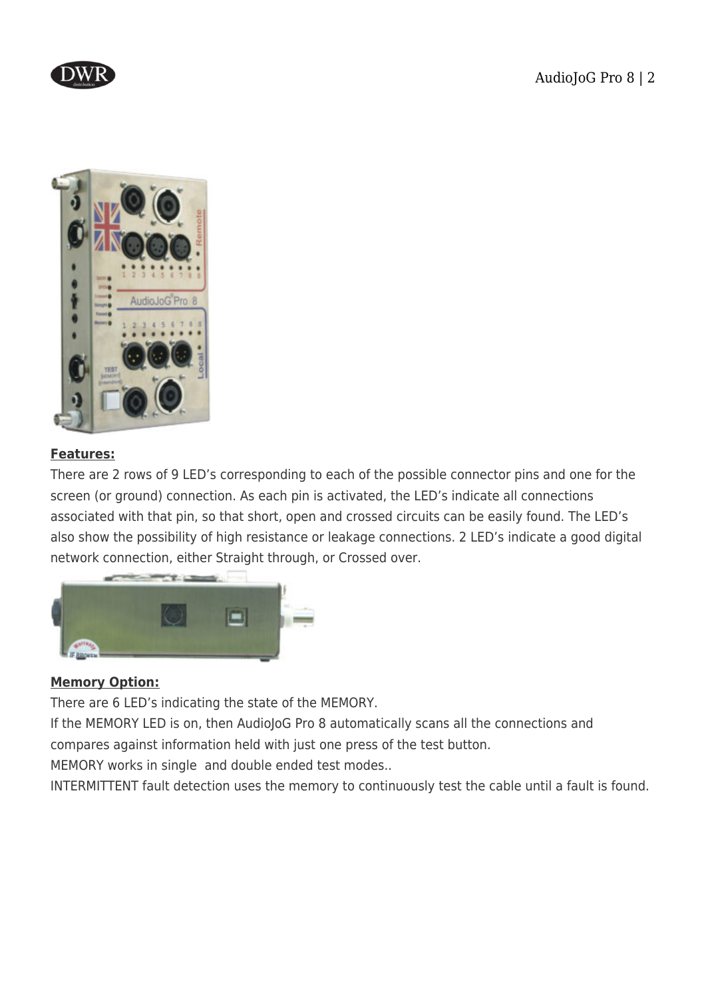



### **Features:**

There are 2 rows of 9 LED's corresponding to each of the possible connector pins and one for the screen (or ground) connection. As each pin is activated, the LED's indicate all connections associated with that pin, so that short, open and crossed circuits can be easily found. The LED's also show the possibility of high resistance or leakage connections. 2 LED's indicate a good digital network connection, either Straight through, or Crossed over.



#### **Memory Option:**

There are 6 LED's indicating the state of the MEMORY.

If the MEMORY LED is on, then AudioJoG Pro 8 automatically scans all the connections and compares against information held with just one press of the test button.

MEMORY works in single and double ended test modes..

INTERMITTENT fault detection uses the memory to continuously test the cable until a fault is found.